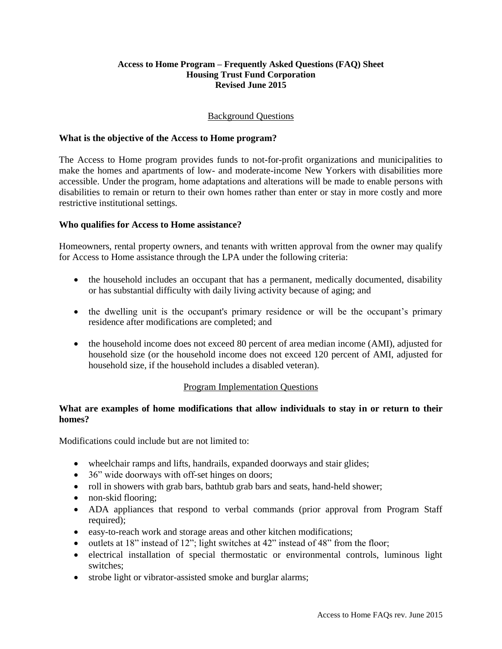#### **Access to Home Program – Frequently Asked Questions (FAQ) Sheet Housing Trust Fund Corporation Revised June 2015**

# Background Questions

### **What is the objective of the Access to Home program?**

The Access to Home program provides funds to not-for-profit organizations and municipalities to make the homes and apartments of low- and moderate-income New Yorkers with disabilities more accessible. Under the program, home adaptations and alterations will be made to enable persons with disabilities to remain or return to their own homes rather than enter or stay in more costly and more restrictive institutional settings.

### **Who qualifies for Access to Home assistance?**

Homeowners, rental property owners, and tenants with written approval from the owner may qualify for Access to Home assistance through the LPA under the following criteria:

- the household includes an occupant that has a permanent, medically documented, disability or has substantial difficulty with daily living activity because of aging; and
- the dwelling unit is the occupant's primary residence or will be the occupant's primary residence after modifications are completed; and
- the household income does not exceed 80 percent of area median income (AMI), adjusted for household size (or the household income does not exceed 120 percent of AMI, adjusted for household size, if the household includes a disabled veteran).

#### Program Implementation Questions

### **What are examples of home modifications that allow individuals to stay in or return to their homes?**

Modifications could include but are not limited to:

- wheelchair ramps and lifts, handrails, expanded doorways and stair glides;
- 36" wide doorways with off-set hinges on doors;
- roll in showers with grab bars, bathtub grab bars and seats, hand-held shower;
- non-skid flooring:
- ADA appliances that respond to verbal commands (prior approval from Program Staff required);
- easy-to-reach work and storage areas and other kitchen modifications;
- $\bullet$  outlets at 18" instead of 12"; light switches at 42" instead of 48" from the floor;
- electrical installation of special thermostatic or environmental controls, luminous light switches;
- strobe light or vibrator-assisted smoke and burglar alarms;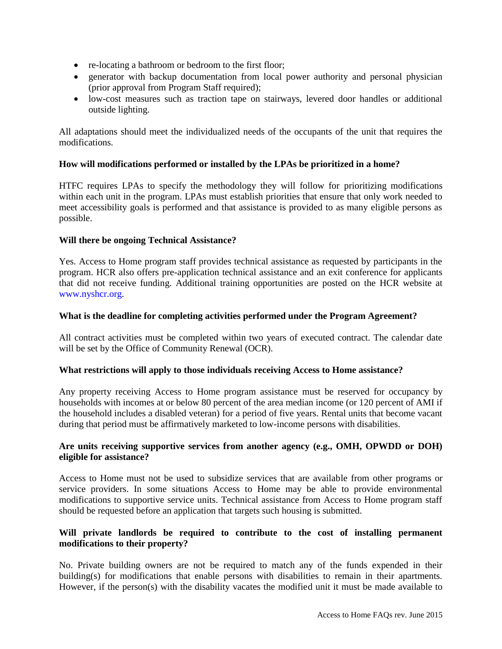- re-locating a bathroom or bedroom to the first floor;
- generator with backup documentation from local power authority and personal physician (prior approval from Program Staff required);
- low-cost measures such as traction tape on stairways, levered door handles or additional outside lighting.

All adaptations should meet the individualized needs of the occupants of the unit that requires the modifications.

# **How will modifications performed or installed by the LPAs be prioritized in a home?**

HTFC requires LPAs to specify the methodology they will follow for prioritizing modifications within each unit in the program. LPAs must establish priorities that ensure that only work needed to meet accessibility goals is performed and that assistance is provided to as many eligible persons as possible.

### **Will there be ongoing Technical Assistance?**

Yes. Access to Home program staff provides technical assistance as requested by participants in the program. HCR also offers pre-application technical assistance and an exit conference for applicants that did not receive funding. Additional training opportunities are posted on the HCR website at [www.nyshcr.org.](http://www.nyshcr.org/)

### **What is the deadline for completing activities performed under the Program Agreement?**

All contract activities must be completed within two years of executed contract. The calendar date will be set by the Office of Community Renewal (OCR).

#### **What restrictions will apply to those individuals receiving Access to Home assistance?**

Any property receiving Access to Home program assistance must be reserved for occupancy by households with incomes at or below 80 percent of the area median income (or 120 percent of AMI if the household includes a disabled veteran) for a period of five years. Rental units that become vacant during that period must be affirmatively marketed to low-income persons with disabilities.

### **Are units receiving supportive services from another agency (e.g., OMH, OPWDD or DOH) eligible for assistance?**

Access to Home must not be used to subsidize services that are available from other programs or service providers. In some situations Access to Home may be able to provide environmental modifications to supportive service units. Technical assistance from Access to Home program staff should be requested before an application that targets such housing is submitted.

# **Will private landlords be required to contribute to the cost of installing permanent modifications to their property?**

No. Private building owners are not be required to match any of the funds expended in their building(s) for modifications that enable persons with disabilities to remain in their apartments. However, if the person(s) with the disability vacates the modified unit it must be made available to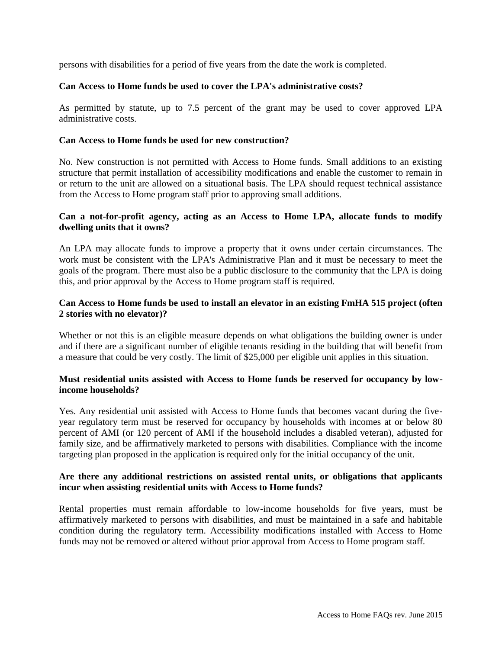persons with disabilities for a period of five years from the date the work is completed.

## **Can Access to Home funds be used to cover the LPA's administrative costs?**

As permitted by statute, up to 7.5 percent of the grant may be used to cover approved LPA administrative costs.

# **Can Access to Home funds be used for new construction?**

No. New construction is not permitted with Access to Home funds. Small additions to an existing structure that permit installation of accessibility modifications and enable the customer to remain in or return to the unit are allowed on a situational basis. The LPA should request technical assistance from the Access to Home program staff prior to approving small additions.

# **Can a not-for-profit agency, acting as an Access to Home LPA, allocate funds to modify dwelling units that it owns?**

An LPA may allocate funds to improve a property that it owns under certain circumstances. The work must be consistent with the LPA's Administrative Plan and it must be necessary to meet the goals of the program. There must also be a public disclosure to the community that the LPA is doing this, and prior approval by the Access to Home program staff is required.

# **Can Access to Home funds be used to install an elevator in an existing FmHA 515 project (often 2 stories with no elevator)?**

Whether or not this is an eligible measure depends on what obligations the building owner is under and if there are a significant number of eligible tenants residing in the building that will benefit from a measure that could be very costly. The limit of \$25,000 per eligible unit applies in this situation.

### **Must residential units assisted with Access to Home funds be reserved for occupancy by lowincome households?**

Yes. Any residential unit assisted with Access to Home funds that becomes vacant during the fiveyear regulatory term must be reserved for occupancy by households with incomes at or below 80 percent of AMI (or 120 percent of AMI if the household includes a disabled veteran), adjusted for family size, and be affirmatively marketed to persons with disabilities. Compliance with the income targeting plan proposed in the application is required only for the initial occupancy of the unit.

# **Are there any additional restrictions on assisted rental units, or obligations that applicants incur when assisting residential units with Access to Home funds?**

Rental properties must remain affordable to low-income households for five years, must be affirmatively marketed to persons with disabilities, and must be maintained in a safe and habitable condition during the regulatory term. Accessibility modifications installed with Access to Home funds may not be removed or altered without prior approval from Access to Home program staff.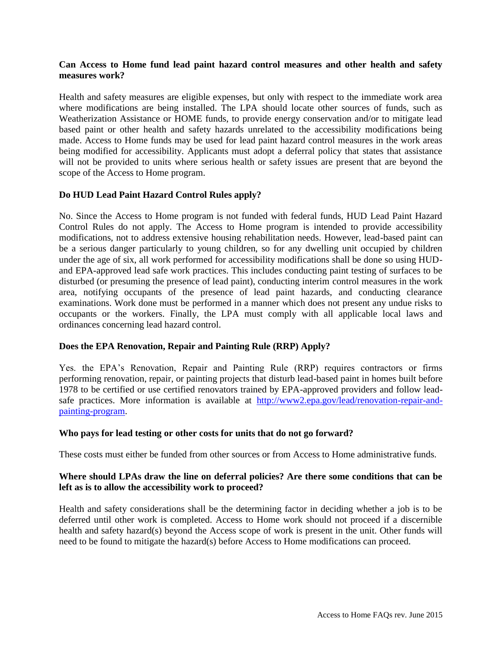# **Can Access to Home fund lead paint hazard control measures and other health and safety measures work?**

Health and safety measures are eligible expenses, but only with respect to the immediate work area where modifications are being installed. The LPA should locate other sources of funds, such as Weatherization Assistance or HOME funds, to provide energy conservation and/or to mitigate lead based paint or other health and safety hazards unrelated to the accessibility modifications being made. Access to Home funds may be used for lead paint hazard control measures in the work areas being modified for accessibility. Applicants must adopt a deferral policy that states that assistance will not be provided to units where serious health or safety issues are present that are beyond the scope of the Access to Home program.

### **Do HUD Lead Paint Hazard Control Rules apply?**

No. Since the Access to Home program is not funded with federal funds, HUD Lead Paint Hazard Control Rules do not apply. The Access to Home program is intended to provide accessibility modifications, not to address extensive housing rehabilitation needs. However, lead-based paint can be a serious danger particularly to young children, so for any dwelling unit occupied by children under the age of six, all work performed for accessibility modifications shall be done so using HUDand EPA-approved lead safe work practices. This includes conducting paint testing of surfaces to be disturbed (or presuming the presence of lead paint), conducting interim control measures in the work area, notifying occupants of the presence of lead paint hazards, and conducting clearance examinations. Work done must be performed in a manner which does not present any undue risks to occupants or the workers. Finally, the LPA must comply with all applicable local laws and ordinances concerning lead hazard control.

# **Does the EPA Renovation, Repair and Painting Rule (RRP) Apply?**

Yes. the EPA's Renovation, Repair and Painting Rule (RRP) requires contractors or firms performing renovation, repair, or painting projects that disturb lead-based paint in homes built before 1978 to be certified or use certified renovators trained by EPA-approved providers and follow leadsafe practices. More information is available at [http://www2.epa.gov/lead/renovation-repair-and](http://www2.epa.gov/lead/renovation-repair-and-painting-program)[painting-program.](http://www2.epa.gov/lead/renovation-repair-and-painting-program)

#### **Who pays for lead testing or other costs for units that do not go forward?**

These costs must either be funded from other sources or from Access to Home administrative funds.

### **Where should LPAs draw the line on deferral policies? Are there some conditions that can be left as is to allow the accessibility work to proceed?**

Health and safety considerations shall be the determining factor in deciding whether a job is to be deferred until other work is completed. Access to Home work should not proceed if a discernible health and safety hazard(s) beyond the Access scope of work is present in the unit. Other funds will need to be found to mitigate the hazard(s) before Access to Home modifications can proceed.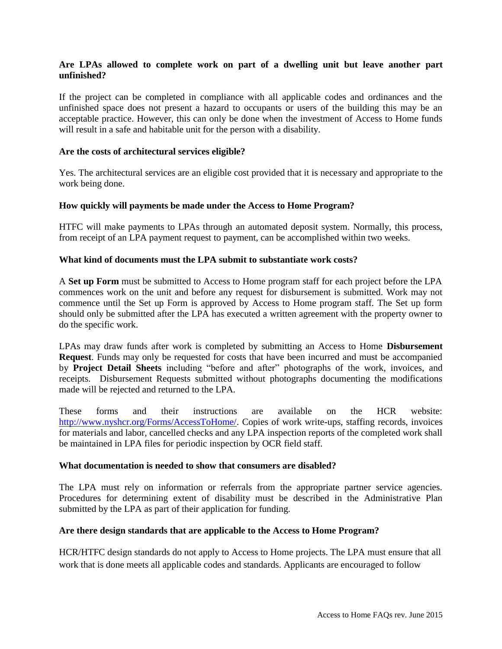# **Are LPAs allowed to complete work on part of a dwelling unit but leave another part unfinished?**

If the project can be completed in compliance with all applicable codes and ordinances and the unfinished space does not present a hazard to occupants or users of the building this may be an acceptable practice. However, this can only be done when the investment of Access to Home funds will result in a safe and habitable unit for the person with a disability.

### **Are the costs of architectural services eligible?**

Yes. The architectural services are an eligible cost provided that it is necessary and appropriate to the work being done.

### **How quickly will payments be made under the Access to Home Program?**

HTFC will make payments to LPAs through an automated deposit system. Normally, this process, from receipt of an LPA payment request to payment, can be accomplished within two weeks.

### **What kind of documents must the LPA submit to substantiate work costs?**

A **Set up Form** must be submitted to Access to Home program staff for each project before the LPA commences work on the unit and before any request for disbursement is submitted. Work may not commence until the Set up Form is approved by Access to Home program staff. The Set up form should only be submitted after the LPA has executed a written agreement with the property owner to do the specific work.

LPAs may draw funds after work is completed by submitting an Access to Home **Disbursement Request**. Funds may only be requested for costs that have been incurred and must be accompanied by **Project Detail Sheets** including "before and after" photographs of the work, invoices, and receipts. Disbursement Requests submitted without photographs documenting the modifications made will be rejected and returned to the LPA.

These forms and their instructions are available on the HCR website: [http://www.nyshcr.org/Forms/AccessToHome/.](http://www.nyshcr.org/Forms/AccessToHome/) Copies of work write-ups, staffing records, invoices for materials and labor, cancelled checks and any LPA inspection reports of the completed work shall be maintained in LPA files for periodic inspection by OCR field staff.

#### **What documentation is needed to show that consumers are disabled?**

The LPA must rely on information or referrals from the appropriate partner service agencies. Procedures for determining extent of disability must be described in the Administrative Plan submitted by the LPA as part of their application for funding.

#### **Are there design standards that are applicable to the Access to Home Program?**

HCR/HTFC design standards do not apply to Access to Home projects. The LPA must ensure that all work that is done meets all applicable codes and standards. Applicants are encouraged to follow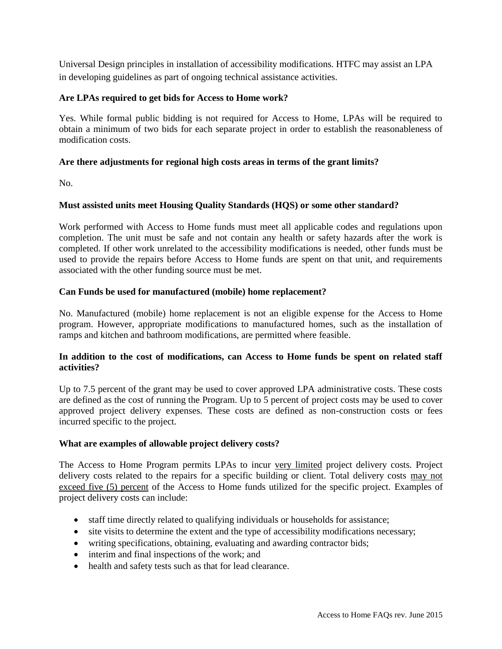Universal Design principles in installation of accessibility modifications. HTFC may assist an LPA in developing guidelines as part of ongoing technical assistance activities.

# **Are LPAs required to get bids for Access to Home work?**

Yes. While formal public bidding is not required for Access to Home, LPAs will be required to obtain a minimum of two bids for each separate project in order to establish the reasonableness of modification costs.

# **Are there adjustments for regional high costs areas in terms of the grant limits?**

No.

# **Must assisted units meet Housing Quality Standards (HQS) or some other standard?**

Work performed with Access to Home funds must meet all applicable codes and regulations upon completion. The unit must be safe and not contain any health or safety hazards after the work is completed. If other work unrelated to the accessibility modifications is needed, other funds must be used to provide the repairs before Access to Home funds are spent on that unit, and requirements associated with the other funding source must be met.

### **Can Funds be used for manufactured (mobile) home replacement?**

No. Manufactured (mobile) home replacement is not an eligible expense for the Access to Home program. However, appropriate modifications to manufactured homes, such as the installation of ramps and kitchen and bathroom modifications, are permitted where feasible.

### **In addition to the cost of modifications, can Access to Home funds be spent on related staff activities?**

Up to 7.5 percent of the grant may be used to cover approved LPA administrative costs. These costs are defined as the cost of running the Program. Up to 5 percent of project costs may be used to cover approved project delivery expenses. These costs are defined as non-construction costs or fees incurred specific to the project.

# **What are examples of allowable project delivery costs?**

The Access to Home Program permits LPAs to incur very limited project delivery costs. Project delivery costs related to the repairs for a specific building or client. Total delivery costs may not exceed five (5) percent of the Access to Home funds utilized for the specific project. Examples of project delivery costs can include:

- staff time directly related to qualifying individuals or households for assistance;
- site visits to determine the extent and the type of accessibility modifications necessary;
- writing specifications, obtaining, evaluating and awarding contractor bids;
- interim and final inspections of the work; and
- health and safety tests such as that for lead clearance.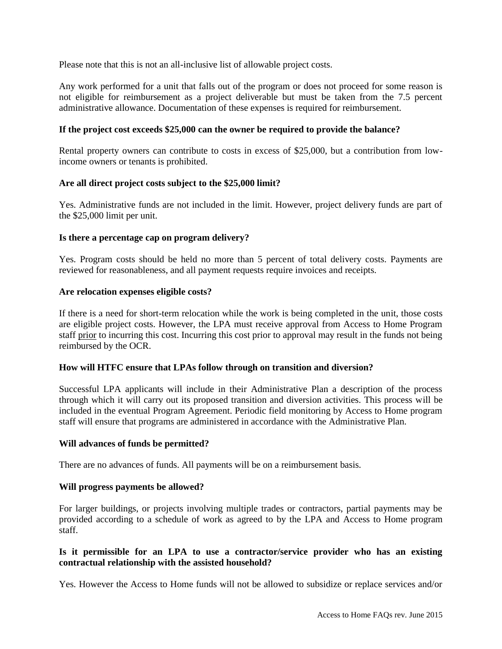Please note that this is not an all-inclusive list of allowable project costs.

Any work performed for a unit that falls out of the program or does not proceed for some reason is not eligible for reimbursement as a project deliverable but must be taken from the 7.5 percent administrative allowance. Documentation of these expenses is required for reimbursement.

# **If the project cost exceeds \$25,000 can the owner be required to provide the balance?**

Rental property owners can contribute to costs in excess of \$25,000, but a contribution from lowincome owners or tenants is prohibited.

### **Are all direct project costs subject to the \$25,000 limit?**

Yes. Administrative funds are not included in the limit. However, project delivery funds are part of the \$25,000 limit per unit.

#### **Is there a percentage cap on program delivery?**

Yes. Program costs should be held no more than 5 percent of total delivery costs. Payments are reviewed for reasonableness, and all payment requests require invoices and receipts.

#### **Are relocation expenses eligible costs?**

If there is a need for short-term relocation while the work is being completed in the unit, those costs are eligible project costs. However, the LPA must receive approval from Access to Home Program staff prior to incurring this cost. Incurring this cost prior to approval may result in the funds not being reimbursed by the OCR.

# **How will HTFC ensure that LPAs follow through on transition and diversion?**

Successful LPA applicants will include in their Administrative Plan a description of the process through which it will carry out its proposed transition and diversion activities. This process will be included in the eventual Program Agreement. Periodic field monitoring by Access to Home program staff will ensure that programs are administered in accordance with the Administrative Plan.

#### **Will advances of funds be permitted?**

There are no advances of funds. All payments will be on a reimbursement basis.

#### **Will progress payments be allowed?**

For larger buildings, or projects involving multiple trades or contractors, partial payments may be provided according to a schedule of work as agreed to by the LPA and Access to Home program staff.

# **Is it permissible for an LPA to use a contractor/service provider who has an existing contractual relationship with the assisted household?**

Yes. However the Access to Home funds will not be allowed to subsidize or replace services and/or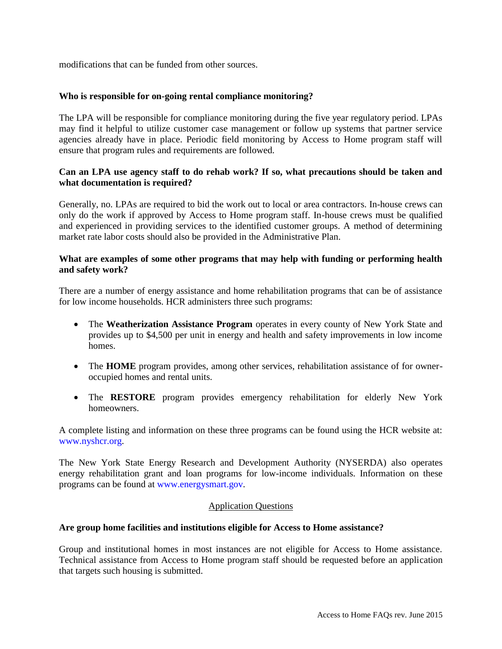modifications that can be funded from other sources.

#### **Who is responsible for on-going rental compliance monitoring?**

The LPA will be responsible for compliance monitoring during the five year regulatory period. LPAs may find it helpful to utilize customer case management or follow up systems that partner service agencies already have in place. Periodic field monitoring by Access to Home program staff will ensure that program rules and requirements are followed.

### **Can an LPA use agency staff to do rehab work? If so, what precautions should be taken and what documentation is required?**

Generally, no. LPAs are required to bid the work out to local or area contractors. In-house crews can only do the work if approved by Access to Home program staff. In-house crews must be qualified and experienced in providing services to the identified customer groups. A method of determining market rate labor costs should also be provided in the Administrative Plan.

### **What are examples of some other programs that may help with funding or performing health and safety work?**

There are a number of energy assistance and home rehabilitation programs that can be of assistance for low income households. HCR administers three such programs:

- The **Weatherization Assistance Program** operates in every county of New York State and provides up to \$4,500 per unit in energy and health and safety improvements in low income homes.
- The **HOME** program provides, among other services, rehabilitation assistance of for owneroccupied homes and rental units.
- The **RESTORE** program provides emergency rehabilitation for elderly New York homeowners.

A complete listing and information on these three programs can be found using the HCR website at: [www.nyshcr.org.](http://www.nyshcr.org/)

The New York State Energy Research and Development Authority (NYSERDA) also operates energy rehabilitation grant and loan programs for low-income individuals. Information on these programs can be found at [www.energysmart.gov.](http://www.nyserda.org/)

#### Application Questions

#### **Are group home facilities and institutions eligible for Access to Home assistance?**

Group and institutional homes in most instances are not eligible for Access to Home assistance. Technical assistance from Access to Home program staff should be requested before an application that targets such housing is submitted.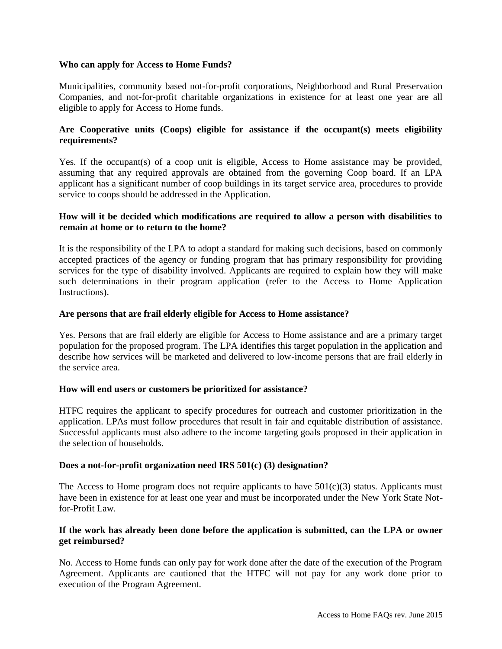### **Who can apply for Access to Home Funds?**

Municipalities, community based not-for-profit corporations, Neighborhood and Rural Preservation Companies, and not-for-profit charitable organizations in existence for at least one year are all eligible to apply for Access to Home funds.

# **Are Cooperative units (Coops) eligible for assistance if the occupant(s) meets eligibility requirements?**

Yes. If the occupant(s) of a coop unit is eligible, Access to Home assistance may be provided, assuming that any required approvals are obtained from the governing Coop board. If an LPA applicant has a significant number of coop buildings in its target service area, procedures to provide service to coops should be addressed in the Application.

# **How will it be decided which modifications are required to allow a person with disabilities to remain at home or to return to the home?**

It is the responsibility of the LPA to adopt a standard for making such decisions, based on commonly accepted practices of the agency or funding program that has primary responsibility for providing services for the type of disability involved. Applicants are required to explain how they will make such determinations in their program application (refer to the Access to Home Application Instructions).

### **Are persons that are frail elderly eligible for Access to Home assistance?**

Yes. Persons that are frail elderly are eligible for Access to Home assistance and are a primary target population for the proposed program. The LPA identifies this target population in the application and describe how services will be marketed and delivered to low-income persons that are frail elderly in the service area.

#### **How will end users or customers be prioritized for assistance?**

HTFC requires the applicant to specify procedures for outreach and customer prioritization in the application. LPAs must follow procedures that result in fair and equitable distribution of assistance. Successful applicants must also adhere to the income targeting goals proposed in their application in the selection of households.

#### **Does a not-for-profit organization need IRS 501(c) (3) designation?**

The Access to Home program does not require applicants to have  $501(c)(3)$  status. Applicants must have been in existence for at least one year and must be incorporated under the New York State Notfor-Profit Law.

# **If the work has already been done before the application is submitted, can the LPA or owner get reimbursed?**

No. Access to Home funds can only pay for work done after the date of the execution of the Program Agreement. Applicants are cautioned that the HTFC will not pay for any work done prior to execution of the Program Agreement.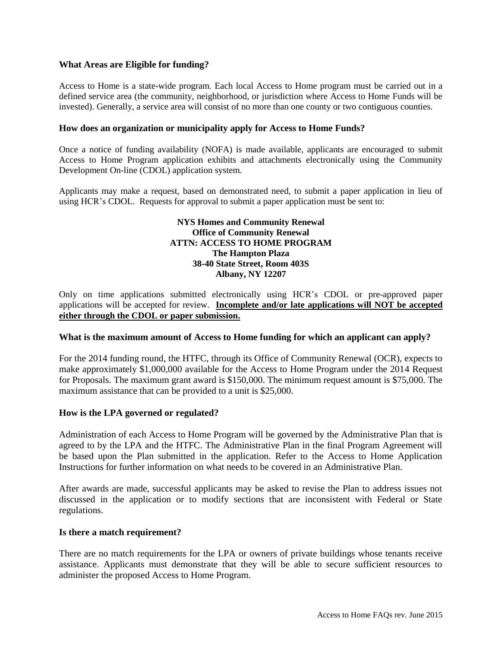### **What Areas are Eligible for funding?**

Access to Home is a state-wide program. Each local Access to Home program must be carried out in a defined service area (the community, neighborhood, or jurisdiction where Access to Home Funds will be invested). Generally, a service area will consist of no more than one county or two contiguous counties.

### **How does an organization or municipality apply for Access to Home Funds?**

Once a notice of funding availability (NOFA) is made available, applicants are encouraged to submit Access to Home Program application exhibits and attachments electronically using the Community Development On-line (CDOL) application system.

Applicants may make a request, based on demonstrated need, to submit a paper application in lieu of using HCR's CDOL. Requests for approval to submit a paper application must be sent to:

#### **NYS Homes and Community Renewal Office of Community Renewal ATTN: ACCESS TO HOME PROGRAM The Hampton Plaza 38-40 State Street, Room 403S Albany, NY 12207**

Only on time applications submitted electronically using HCR's CDOL or pre-approved paper applications will be accepted for review. **Incomplete and/or late applications will NOT be accepted either through the CDOL or paper submission.**

#### **What is the maximum amount of Access to Home funding for which an applicant can apply?**

For the 2014 funding round, the HTFC, through its Office of Community Renewal (OCR), expects to make approximately \$1,000,000 available for the Access to Home Program under the 2014 Request for Proposals. The maximum grant award is \$150,000. The minimum request amount is \$75,000. The maximum assistance that can be provided to a unit is \$25,000.

#### **How is the LPA governed or regulated?**

Administration of each Access to Home Program will be governed by the Administrative Plan that is agreed to by the LPA and the HTFC. The Administrative Plan in the final Program Agreement will be based upon the Plan submitted in the application. Refer to the Access to Home Application Instructions for further information on what needs to be covered in an Administrative Plan.

After awards are made, successful applicants may be asked to revise the Plan to address issues not discussed in the application or to modify sections that are inconsistent with Federal or State regulations.

#### **Is there a match requirement?**

There are no match requirements for the LPA or owners of private buildings whose tenants receive assistance. Applicants must demonstrate that they will be able to secure sufficient resources to administer the proposed Access to Home Program.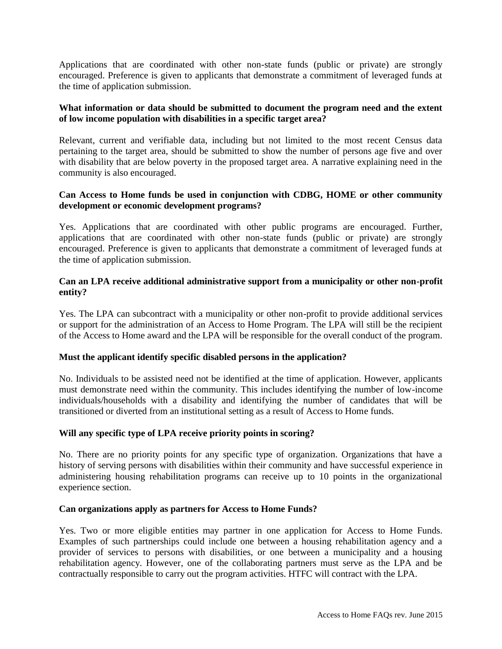Applications that are coordinated with other non-state funds (public or private) are strongly encouraged. Preference is given to applicants that demonstrate a commitment of leveraged funds at the time of application submission.

### **What information or data should be submitted to document the program need and the extent of low income population with disabilities in a specific target area?**

Relevant, current and verifiable data, including but not limited to the most recent Census data pertaining to the target area, should be submitted to show the number of persons age five and over with disability that are below poverty in the proposed target area. A narrative explaining need in the community is also encouraged.

# **Can Access to Home funds be used in conjunction with CDBG, HOME or other community development or economic development programs?**

Yes. Applications that are coordinated with other public programs are encouraged. Further, applications that are coordinated with other non-state funds (public or private) are strongly encouraged. Preference is given to applicants that demonstrate a commitment of leveraged funds at the time of application submission.

# **Can an LPA receive additional administrative support from a municipality or other non-profit entity?**

Yes. The LPA can subcontract with a municipality or other non-profit to provide additional services or support for the administration of an Access to Home Program. The LPA will still be the recipient of the Access to Home award and the LPA will be responsible for the overall conduct of the program.

# **Must the applicant identify specific disabled persons in the application?**

No. Individuals to be assisted need not be identified at the time of application. However, applicants must demonstrate need within the community. This includes identifying the number of low-income individuals/households with a disability and identifying the number of candidates that will be transitioned or diverted from an institutional setting as a result of Access to Home funds.

# **Will any specific type of LPA receive priority points in scoring?**

No. There are no priority points for any specific type of organization. Organizations that have a history of serving persons with disabilities within their community and have successful experience in administering housing rehabilitation programs can receive up to 10 points in the organizational experience section.

#### **Can organizations apply as partners for Access to Home Funds?**

Yes. Two or more eligible entities may partner in one application for Access to Home Funds. Examples of such partnerships could include one between a housing rehabilitation agency and a provider of services to persons with disabilities, or one between a municipality and a housing rehabilitation agency. However, one of the collaborating partners must serve as the LPA and be contractually responsible to carry out the program activities. HTFC will contract with the LPA.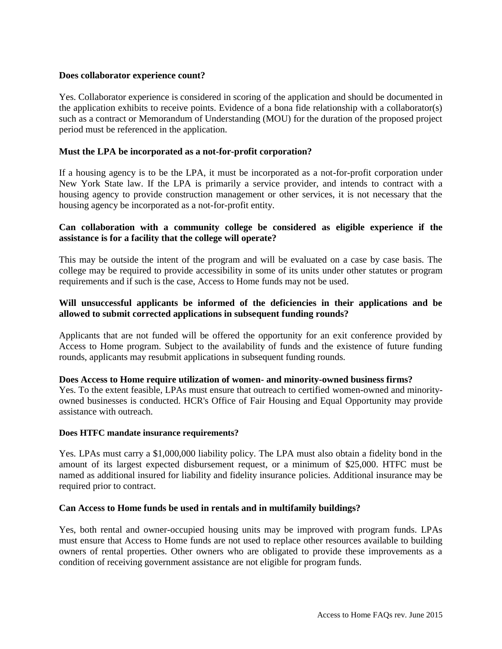### **Does collaborator experience count?**

Yes. Collaborator experience is considered in scoring of the application and should be documented in the application exhibits to receive points. Evidence of a bona fide relationship with a collaborator(s) such as a contract or Memorandum of Understanding (MOU) for the duration of the proposed project period must be referenced in the application.

# **Must the LPA be incorporated as a not-for-profit corporation?**

If a housing agency is to be the LPA, it must be incorporated as a not-for-profit corporation under New York State law. If the LPA is primarily a service provider, and intends to contract with a housing agency to provide construction management or other services, it is not necessary that the housing agency be incorporated as a not-for-profit entity.

# **Can collaboration with a community college be considered as eligible experience if the assistance is for a facility that the college will operate?**

This may be outside the intent of the program and will be evaluated on a case by case basis. The college may be required to provide accessibility in some of its units under other statutes or program requirements and if such is the case, Access to Home funds may not be used.

# **Will unsuccessful applicants be informed of the deficiencies in their applications and be allowed to submit corrected applications in subsequent funding rounds?**

Applicants that are not funded will be offered the opportunity for an exit conference provided by Access to Home program. Subject to the availability of funds and the existence of future funding rounds, applicants may resubmit applications in subsequent funding rounds.

#### **Does Access to Home require utilization of women- and minority-owned business firms?**

Yes. To the extent feasible, LPAs must ensure that outreach to certified women-owned and minorityowned businesses is conducted. HCR's Office of Fair Housing and Equal Opportunity may provide assistance with outreach.

#### **Does HTFC mandate insurance requirements?**

Yes. LPAs must carry a \$1,000,000 liability policy. The LPA must also obtain a fidelity bond in the amount of its largest expected disbursement request, or a minimum of \$25,000. HTFC must be named as additional insured for liability and fidelity insurance policies. Additional insurance may be required prior to contract.

#### **Can Access to Home funds be used in rentals and in multifamily buildings?**

Yes, both rental and owner-occupied housing units may be improved with program funds. LPAs must ensure that Access to Home funds are not used to replace other resources available to building owners of rental properties. Other owners who are obligated to provide these improvements as a condition of receiving government assistance are not eligible for program funds.